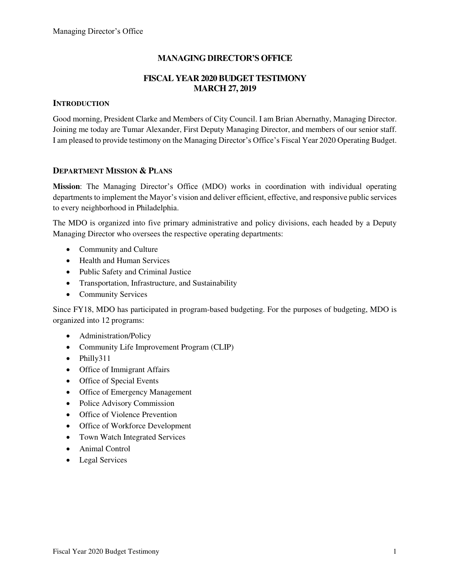## **MANAGING DIRECTOR'S OFFICE**

### **FISCAL YEAR 2020 BUDGET TESTIMONY MARCH 27, 2019**

### **INTRODUCTION**

Good morning, President Clarke and Members of City Council. I am Brian Abernathy, Managing Director. Joining me today are Tumar Alexander, First Deputy Managing Director, and members of our senior staff. I am pleased to provide testimony on the Managing Director's Office's Fiscal Year 2020 Operating Budget.

### **DEPARTMENT MISSION & PLANS**

**Mission**: The Managing Director's Office (MDO) works in coordination with individual operating departments to implement the Mayor's vision and deliver efficient, effective, and responsive public services to every neighborhood in Philadelphia.

The MDO is organized into five primary administrative and policy divisions, each headed by a Deputy Managing Director who oversees the respective operating departments:

- Community and Culture
- Health and Human Services
- Public Safety and Criminal Justice
- Transportation, Infrastructure, and Sustainability
- Community Services

Since FY18, MDO has participated in program-based budgeting. For the purposes of budgeting, MDO is organized into 12 programs:

- Administration/Policy
- Community Life Improvement Program (CLIP)
- Philly311
- Office of Immigrant Affairs
- Office of Special Events
- Office of Emergency Management
- Police Advisory Commission
- Office of Violence Prevention
- Office of Workforce Development
- Town Watch Integrated Services
- Animal Control
- Legal Services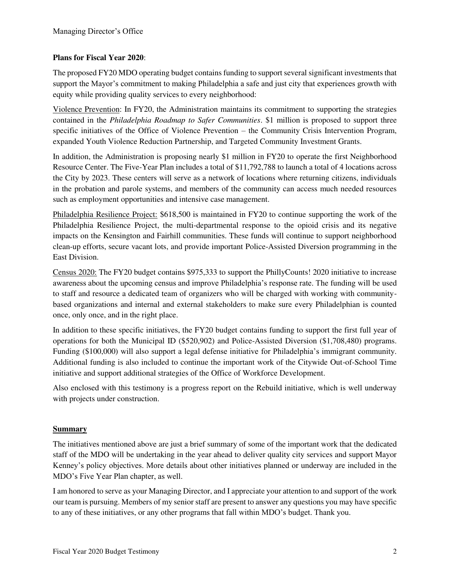### **Plans for Fiscal Year 2020**:

The proposed FY20 MDO operating budget contains funding to support several significant investments that support the Mayor's commitment to making Philadelphia a safe and just city that experiences growth with equity while providing quality services to every neighborhood:

Violence Prevention: In FY20, the Administration maintains its commitment to supporting the strategies contained in the *Philadelphia Roadmap to Safer Communities*. \$1 million is proposed to support three specific initiatives of the Office of Violence Prevention – the Community Crisis Intervention Program, expanded Youth Violence Reduction Partnership, and Targeted Community Investment Grants.

In addition, the Administration is proposing nearly \$1 million in FY20 to operate the first Neighborhood Resource Center. The Five-Year Plan includes a total of \$11,792,788 to launch a total of 4 locations across the City by 2023. These centers will serve as a network of locations where returning citizens, individuals in the probation and parole systems, and members of the community can access much needed resources such as employment opportunities and intensive case management.

Philadelphia Resilience Project: \$618,500 is maintained in FY20 to continue supporting the work of the Philadelphia Resilience Project, the multi-departmental response to the opioid crisis and its negative impacts on the Kensington and Fairhill communities. These funds will continue to support neighborhood clean-up efforts, secure vacant lots, and provide important Police-Assisted Diversion programming in the East Division.

Census 2020: The FY20 budget contains \$975,333 to support the PhillyCounts! 2020 initiative to increase awareness about the upcoming census and improve Philadelphia's response rate. The funding will be used to staff and resource a dedicated team of organizers who will be charged with working with communitybased organizations and internal and external stakeholders to make sure every Philadelphian is counted once, only once, and in the right place.

In addition to these specific initiatives, the FY20 budget contains funding to support the first full year of operations for both the Municipal ID (\$520,902) and Police-Assisted Diversion (\$1,708,480) programs. Funding (\$100,000) will also support a legal defense initiative for Philadelphia's immigrant community. Additional funding is also included to continue the important work of the Citywide Out-of-School Time initiative and support additional strategies of the Office of Workforce Development.

Also enclosed with this testimony is a progress report on the Rebuild initiative, which is well underway with projects under construction.

### **Summary**

The initiatives mentioned above are just a brief summary of some of the important work that the dedicated staff of the MDO will be undertaking in the year ahead to deliver quality city services and support Mayor Kenney's policy objectives. More details about other initiatives planned or underway are included in the MDO's Five Year Plan chapter, as well.

I am honored to serve as your Managing Director, and I appreciate your attention to and support of the work our team is pursuing. Members of my senior staff are present to answer any questions you may have specific to any of these initiatives, or any other programs that fall within MDO's budget. Thank you.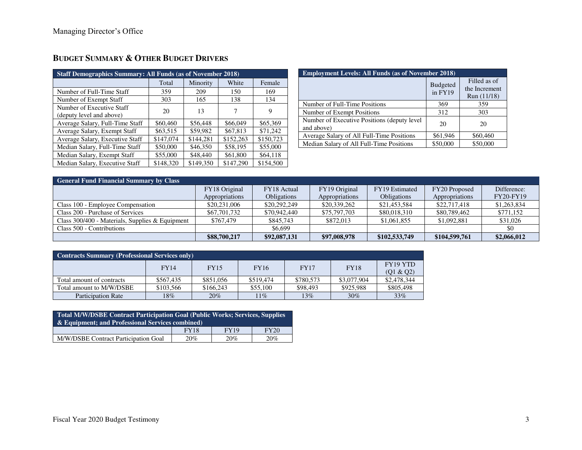| <b>Staff Demographics Summary: All Funds (as of November 2018)</b> |           |           |           |           |
|--------------------------------------------------------------------|-----------|-----------|-----------|-----------|
|                                                                    | Total     | Minority  | White     | Female    |
| Number of Full-Time Staff                                          | 359       | 209       | 150       | 169       |
| Number of Exempt Staff                                             | 303       | 165       | 138       | 134       |
| Number of Executive Staff<br>(deputy level and above)              | 20        | 13        | 7         | 9         |
| Average Salary, Full-Time Staff                                    | \$60,460  | \$56,448  | \$66,049  | \$65,369  |
| Average Salary, Exempt Staff                                       | \$63,515  | \$59.982  | \$67,813  | \$71,242  |
| Average Salary, Executive Staff                                    | \$147,074 | \$144,281 | \$152,263 | \$150,723 |
| Median Salary, Full-Time Staff                                     | \$50,000  | \$46,350  | \$58,195  | \$55,000  |
| Median Salary, Exempt Staff                                        | \$55,000  | \$48,440  | \$61,800  | \$64,118  |
| Median Salary, Executive Staff                                     | \$148,320 | \$149,350 | \$147,290 | \$154,500 |

# **BUDGET SUMMARY & OTHER BUDGET DRIVERS**

| <b>Employment Levels: All Funds (as of November 2018)</b>  |                            |                                              |  |  |  |
|------------------------------------------------------------|----------------------------|----------------------------------------------|--|--|--|
|                                                            | <b>Budgeted</b><br>in FY19 | Filled as of<br>the Increment<br>Run (11/18) |  |  |  |
| Number of Full-Time Positions                              | 369                        | 359                                          |  |  |  |
| Number of Exempt Positions                                 | 312                        | 303                                          |  |  |  |
| Number of Executive Positions (deputy level)<br>and above) | 20                         | 20                                           |  |  |  |
| Average Salary of All Full-Time Positions                  | \$61,946                   | \$60,460                                     |  |  |  |
| Median Salary of All Full-Time Positions                   | \$50,000                   | \$50,000                                     |  |  |  |

| <b>General Fund Financial Summary by Class</b>    |                |                    |                |                    |                |                  |
|---------------------------------------------------|----------------|--------------------|----------------|--------------------|----------------|------------------|
|                                                   | FY18 Original  | FY18 Actual        | FY19 Original  | FY19 Estimated     | FY20 Proposed  | Difference:      |
|                                                   | Appropriations | <b>Obligations</b> | Appropriations | <b>Obligations</b> | Appropriations | <b>FY20-FY19</b> |
| Class 100 - Employee Compensation                 | \$20,231,006   | \$20,292,249       | \$20,339,262   | \$21,453,584       | \$22,717,418   | \$1,263,834      |
| Class 200 - Purchase of Services                  | \$67,701,732   | \$70,942,440       | \$75,797,703   | \$80,018,310       | \$80,789,462   | \$771,152        |
| Class $300/400$ - Materials, Supplies & Equipment | \$767,479      | \$845,743          | \$872,013      | \$1,061,855        | \$1,092,881    | \$31,026         |
| Class 500 - Contributions                         |                | \$6,699            |                |                    |                | \$0              |
|                                                   | \$88,700,217   | \$92,087,131       | \$97,008,978   | \$102,533,749      | \$104,599,761  | \$2,066,012      |

| <b>Contracts Summary (Professional Services only)</b> |             |             |             |             |             |                       |
|-------------------------------------------------------|-------------|-------------|-------------|-------------|-------------|-----------------------|
|                                                       | <b>FY14</b> | <b>FY15</b> | <b>FY16</b> | <b>FY17</b> | <b>FY18</b> | FY19 YTD<br>(Q1 & Q2) |
| Total amount of contracts                             | \$567.435   | \$851,056   | \$519,474   | \$780,573   | \$3,077,904 | \$2,478,344           |
| Total amount to M/W/DSBE                              | \$103,566   | \$166,243   | \$55,100    | \$98,493    | \$925,988   | \$805,498             |
| <b>Participation Rate</b>                             | 18%         | 20%         | $11\%$      | $13\%$      | 30%         | 33%                   |

| Total M/W/DSBE Contract Participation Goal (Public Works; Services, Supplies<br>$\&$ Equipment: and Professional Services combined) |             |             |      |  |  |
|-------------------------------------------------------------------------------------------------------------------------------------|-------------|-------------|------|--|--|
|                                                                                                                                     | <b>FY18</b> | <b>FY19</b> | FY20 |  |  |
| M/W/DSBE Contract Participation Goal                                                                                                | 20%         | 20%         | 20%  |  |  |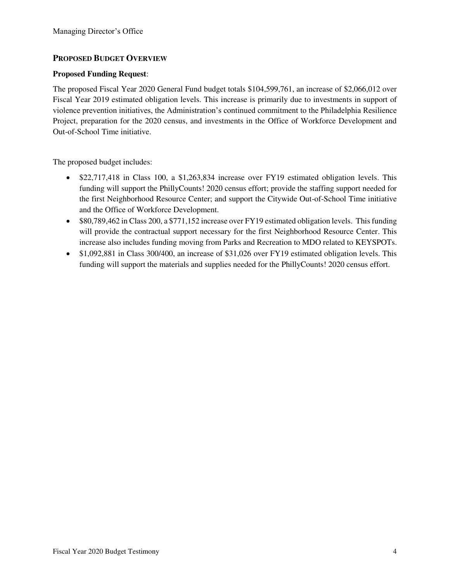### **PROPOSED BUDGET OVERVIEW**

### **Proposed Funding Request**:

The proposed Fiscal Year 2020 General Fund budget totals \$104,599,761, an increase of \$2,066,012 over Fiscal Year 2019 estimated obligation levels. This increase is primarily due to investments in support of violence prevention initiatives, the Administration's continued commitment to the Philadelphia Resilience Project, preparation for the 2020 census, and investments in the Office of Workforce Development and Out-of-School Time initiative.

The proposed budget includes:

- \$22,717,418 in Class 100, a \$1,263,834 increase over FY19 estimated obligation levels. This funding will support the PhillyCounts! 2020 census effort; provide the staffing support needed for the first Neighborhood Resource Center; and support the Citywide Out-of-School Time initiative and the Office of Workforce Development.
- \$80,789,462 in Class 200, a \$771,152 increase over FY19 estimated obligation levels. This funding will provide the contractual support necessary for the first Neighborhood Resource Center. This increase also includes funding moving from Parks and Recreation to MDO related to KEYSPOTs.
- \$1,092,881 in Class 300/400, an increase of \$31,026 over FY19 estimated obligation levels. This funding will support the materials and supplies needed for the PhillyCounts! 2020 census effort.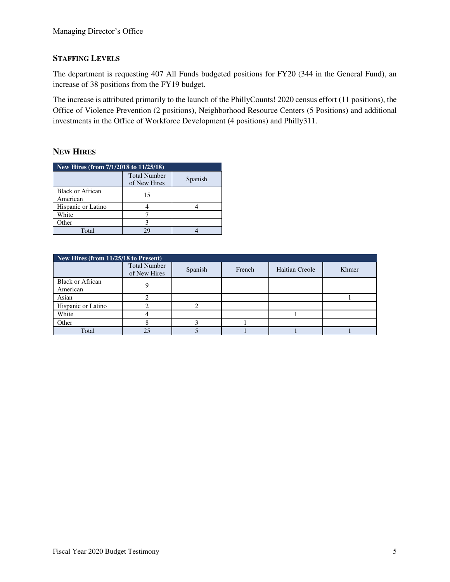### **STAFFING LEVELS**

The department is requesting 407 All Funds budgeted positions for FY20 (344 in the General Fund), an increase of 38 positions from the FY19 budget.

The increase is attributed primarily to the launch of the PhillyCounts! 2020 census effort (11 positions), the Office of Violence Prevention (2 positions), Neighborhood Resource Centers (5 Positions) and additional investments in the Office of Workforce Development (4 positions) and Philly311.

### **NEW HIRES**

| New Hires (from 7/1/2018 to 11/25/18) |                                     |         |  |  |  |
|---------------------------------------|-------------------------------------|---------|--|--|--|
|                                       | <b>Total Number</b><br>of New Hires | Spanish |  |  |  |
| Black or African<br>American          | 15                                  |         |  |  |  |
| Hispanic or Latino                    |                                     |         |  |  |  |
| White                                 |                                     |         |  |  |  |
| Other                                 |                                     |         |  |  |  |
| Total                                 |                                     |         |  |  |  |

|                                     | New Hires (from 11/25/18 to Present) |         |        |                |       |  |  |  |
|-------------------------------------|--------------------------------------|---------|--------|----------------|-------|--|--|--|
|                                     | <b>Total Number</b><br>of New Hires  | Spanish | French | Haitian Creole | Khmer |  |  |  |
| <b>Black or African</b><br>American |                                      |         |        |                |       |  |  |  |
| Asian                               |                                      |         |        |                |       |  |  |  |
| Hispanic or Latino                  |                                      |         |        |                |       |  |  |  |
| White                               |                                      |         |        |                |       |  |  |  |
| Other                               |                                      |         |        |                |       |  |  |  |
| Total                               | 25                                   |         |        |                |       |  |  |  |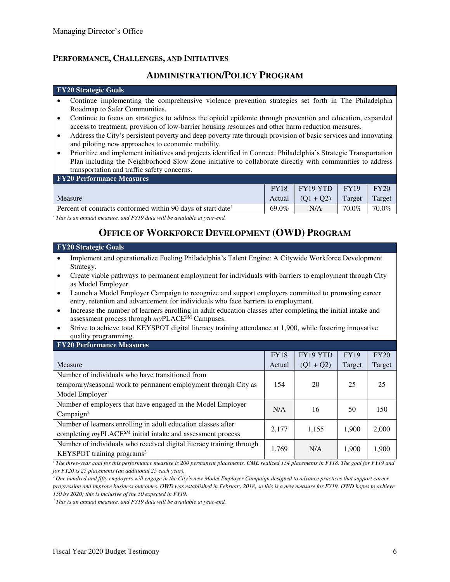### **PERFORMANCE, CHALLENGES, AND INITIATIVES**

# **ADMINISTRATION/POLICY PROGRAM**

#### **FY20 Strategic Goals**

- Continue implementing the comprehensive violence prevention strategies set forth in The Philadelphia Roadmap to Safer Communities.
- Continue to focus on strategies to address the opioid epidemic through prevention and education, expanded access to treatment, provision of low-barrier housing resources and other harm reduction measures.
- Address the City's persistent poverty and deep poverty rate through provision of basic services and innovating and piloting new approaches to economic mobility.
- Prioritize and implement initiatives and projects identified in Connect: Philadelphia's Strategic Transportation Plan including the Neighborhood Slow Zone initiative to collaborate directly with communities to address transportation and traffic safety concerns.

| <b>FY20 Performance Measures</b>                                         |             |             |             |        |
|--------------------------------------------------------------------------|-------------|-------------|-------------|--------|
|                                                                          | <b>FY18</b> | FY19 YTD    | <b>FY19</b> | FY20   |
| <b>Measure</b>                                                           | Actual      | $(01 + 02)$ | Target      | Target |
| Percent of contracts conformed within 90 days of start date <sup>1</sup> | 69.0%       | N/A         | 70.0%       | 70.0%  |

*<sup>1</sup>This is an annual measure, and FY19 data will be available at year-end.*

## **OFFICE OF WORKFORCE DEVELOPMENT (OWD) PROGRAM**

#### **FY20 Strategic Goals**

- Implement and operationalize Fueling Philadelphia's Talent Engine: A Citywide Workforce Development Strategy.
- Create viable pathways to permanent employment for individuals with barriers to employment through City as Model Employer.
- Launch a Model Employer Campaign to recognize and support employers committed to promoting career entry, retention and advancement for individuals who face barriers to employment.
- Increase the number of learners enrolling in adult education classes after completing the initial intake and assessment process through *my*PLACESM Campuses.
- Strive to achieve total KEYSPOT digital literacy training attendance at 1,900, while fostering innovative quality programming.
- **FY20 Performance Measures**

|                                                                      | <b>FY18</b> | FY19 YTD    | <b>FY19</b> | FY20   |
|----------------------------------------------------------------------|-------------|-------------|-------------|--------|
| Measure                                                              | Actual      | $(Q1 + Q2)$ | Target      | Target |
| Number of individuals who have transitioned from                     |             |             |             |        |
| temporary/seasonal work to permanent employment through City as      | 154         | 20          | 25          | 25     |
| Model Employer <sup>1</sup>                                          |             |             |             |        |
| Number of employers that have engaged in the Model Employer          | N/A         | 16          | 50          | 150    |
| Campalign <sup>2</sup>                                               |             |             |             |        |
| Number of learners enrolling in adult education classes after        | 2,177       | 1,155       | 1,900       | 2,000  |
| completing $myPLACE^{SM}$ initial intake and assessment process      |             |             |             |        |
| Number of individuals who received digital literacy training through | 1,769       | N/A         | 1,900       | 1,900  |
| KEYSPOT training programs <sup>3</sup>                               |             |             |             |        |

<sup>1</sup>*The three-year goal for this performance measure is 200 permanent placements. CME realized 154 placements in FY18. The goal for FY19 and for FY20 is 25 placements (an additional 25 each year).* 

*<sup>2</sup>One hundred and fifty employers will engage in the City's new Model Employer Campaign designed to advance practices that support career progression and improve business outcomes. OWD was established in February 2018, so this is a new measure for FY19. OWD hopes to achieve 150 by 2020; this is inclusive of the 50 expected in FY19.* 

*3 This is an annual measure, and FY19 data will be available at year-end.*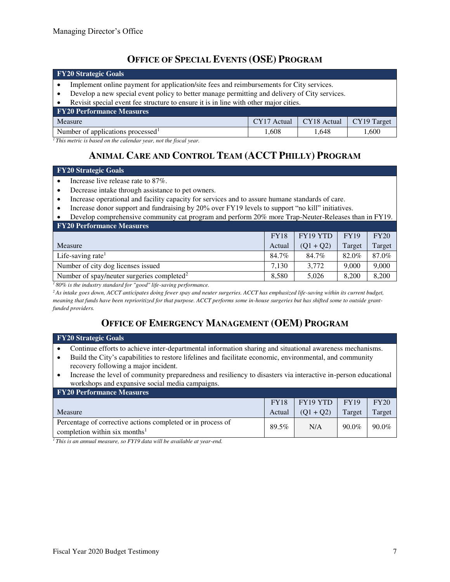## **OFFICE OF SPECIAL EVENTS (OSE) PROGRAM**

| <b>FY20 Strategic Goals</b>                                                                                                                                                                                                                                                       |             |             |             |  |  |
|-----------------------------------------------------------------------------------------------------------------------------------------------------------------------------------------------------------------------------------------------------------------------------------|-------------|-------------|-------------|--|--|
| Implement online payment for application/site fees and reimbursements for City services.<br>Develop a new special event policy to better manage permitting and delivery of City services.<br>Revisit special event fee structure to ensure it is in line with other major cities. |             |             |             |  |  |
| <b>FY20 Performance Measures</b>                                                                                                                                                                                                                                                  |             |             |             |  |  |
| Measure                                                                                                                                                                                                                                                                           | CY17 Actual | CY18 Actual | CY19 Target |  |  |
| Number of applications processed <sup>1</sup>                                                                                                                                                                                                                                     | 1.608       | 1.648       | 1,600       |  |  |

*<sup>1</sup>This metric is based on the calendar year, not the fiscal year.* 

# **ANIMAL CARE AND CONTROL TEAM (ACCT PHILLY) PROGRAM**

#### **FY20 Strategic Goals**

- Increase live release rate to 87%.
- Decrease intake through assistance to pet owners.
- Increase operational and facility capacity for services and to assure humane standards of care.
- Increase donor support and fundraising by 20% over FY19 levels to support "no kill" initiatives.

| Develop comprehensive community cat program and perform 20% more Trap-Neuter-Releases than in FY19. |             |                 |             |        |  |  |
|-----------------------------------------------------------------------------------------------------|-------------|-----------------|-------------|--------|--|--|
| <b>FY20 Performance Measures</b>                                                                    |             |                 |             |        |  |  |
|                                                                                                     | <b>FY18</b> | <b>FY19 YTD</b> | <b>FY19</b> | FY20   |  |  |
| Measure                                                                                             | Actual      | $(Q1 + Q2)$     | Target      | Target |  |  |
| Life-saving rate                                                                                    | 84.7%       | 84.7%           | 82.0%       | 87.0%  |  |  |
| Number of city dog licenses issued                                                                  | 7.130       | 3.772           | 9,000       | 9,000  |  |  |
| Number of spay/neuter surgeries completed <sup>2</sup>                                              | 8,580       | 5,026           | 8,200       | 8,200  |  |  |

*<sup>1</sup>80% is the industry standard for "good" life-saving performance.* 

*<sup>2</sup>As intake goes down, ACCT anticipates doing fewer spay and neuter surgeries. ACCT has emphasized life-saving within its current budget, meaning that funds have been reprioritized for that purpose. ACCT performs some in-house surgeries but has shifted some to outside grantfunded providers.*

# **OFFICE OF EMERGENCY MANAGEMENT (OEM) PROGRAM**

# **FY20 Strategic Goals**

- Continue efforts to achieve inter-departmental information sharing and situational awareness mechanisms.
- Build the City's capabilities to restore lifelines and facilitate economic, environmental, and community recovery following a major incident.
- Increase the level of community preparedness and resiliency to disasters via interactive in-person educational workshops and expansive social media campaigns.

| <b>FY20 Performance Measures</b>                                                                         |             |             |             |          |
|----------------------------------------------------------------------------------------------------------|-------------|-------------|-------------|----------|
|                                                                                                          | <b>FY18</b> | FY19 YTD    | <b>FY19</b> | FY20     |
| Measure                                                                                                  | Actual      | $(01 + 02)$ | Target      | Target   |
| Percentage of corrective actions completed or in process of<br>completion within six months <sup>1</sup> | 89.5%       | N/A         | $90.0\%$    | $90.0\%$ |

*1 This is an annual measure, so FY19 data will be available at year-end.*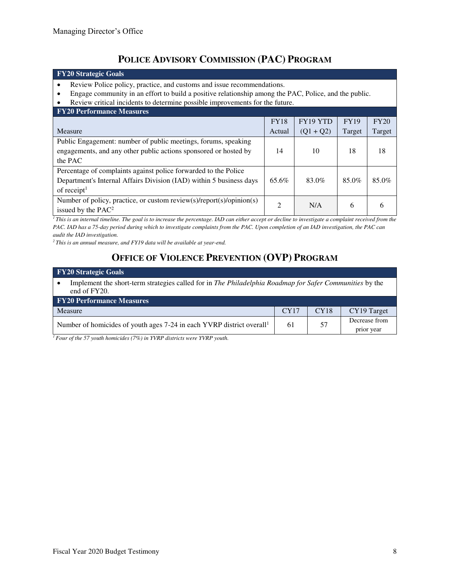# **POLICE ADVISORY COMMISSION (PAC) PROGRAM**

## **FY20 Strategic Goals**  • Review Police policy, practice, and customs and issue recommendations.

- Engage community in an effort to build a positive relationship among the PAC, Police, and the public.<br>• Review critical incidents to determine possible improvements for the future.
- Review critical incidents to determine possible improvements for the future.

| <b>FY20 Performance Measures</b>                                                 |             |             |             |        |
|----------------------------------------------------------------------------------|-------------|-------------|-------------|--------|
|                                                                                  | <b>FY18</b> | FY19 YTD    | <b>FY19</b> | FY20   |
| Measure                                                                          | Actual      | $(Q1 + Q2)$ | Target      | Target |
| Public Engagement: number of public meetings, forums, speaking                   |             |             |             |        |
| engagements, and any other public actions sponsored or hosted by                 | 14          | 10          | 18          | 18     |
| the PAC                                                                          |             |             |             |        |
| Percentage of complaints against police forwarded to the Police                  |             |             |             |        |
| Department's Internal Affairs Division (IAD) within 5 business days              | 65.6%       | 83.0%       | 85.0%       | 85.0%  |
| of receipt $1$                                                                   |             |             |             |        |
| Number of policy, practice, or custom review( $s$ )/report( $s$ )/opinion( $s$ ) | 2           | N/A         | 6           | 6      |
| issued by the PAC <sup>2</sup>                                                   |             |             |             |        |

<sup>1</sup>*This is an internal timeline. The goal is to increase the percentage. IAD can either accept or decline to investigate a complaint received from the PAC. IAD has a 75-day period during which to investigate complaints from the PAC. Upon completion of an IAD investigation, the PAC can audit the IAD investigation.* 

*<sup>2</sup>This is an annual measure, and FY19 data will be available at year-end.*

# **OFFICE OF VIOLENCE PREVENTION (OVP) PROGRAM**

| <b>FY20 Strategic Goals</b>                                                                                                |      |      |               |  |  |  |
|----------------------------------------------------------------------------------------------------------------------------|------|------|---------------|--|--|--|
| Implement the short-term strategies called for in The Philadelphia Roadmap for Safer Communities by the<br>end of $FY20$ . |      |      |               |  |  |  |
| <b>FY20 Performance Measures</b>                                                                                           |      |      |               |  |  |  |
| Measure                                                                                                                    | CY17 | CY18 | CY19 Target   |  |  |  |
| Number of homicides of youth ages 7-24 in each YVRP district overall <sup>1</sup>                                          | 61   | 57   | Decrease from |  |  |  |
|                                                                                                                            |      |      | prior year    |  |  |  |

*1 Four of the 57 youth homicides (7%) in YVRP districts were YVRP youth.*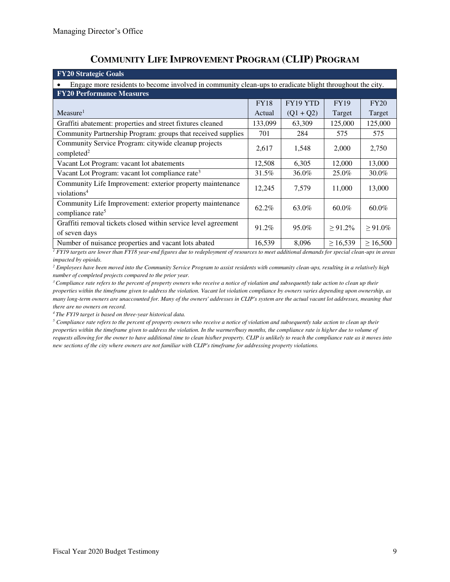| <b>FY20 Strategic Goals</b>                                                                              |             |             |               |               |  |  |  |  |
|----------------------------------------------------------------------------------------------------------|-------------|-------------|---------------|---------------|--|--|--|--|
| Engage more residents to become involved in community clean-ups to eradicate blight throughout the city. |             |             |               |               |  |  |  |  |
| <b>FY20 Performance Measures</b>                                                                         |             |             |               |               |  |  |  |  |
|                                                                                                          | <b>FY18</b> | FY19 YTD    | <b>FY19</b>   | FY20          |  |  |  |  |
| Measure <sup>1</sup>                                                                                     | Actual      | $(Q1 + Q2)$ | Target        | Target        |  |  |  |  |
| Graffiti abatement: properties and street fixtures cleaned                                               | 133,099     | 63,309      | 125,000       | 125,000       |  |  |  |  |
| Community Partnership Program: groups that received supplies                                             | 701         | 284         | 575           | 575           |  |  |  |  |
| Community Service Program: citywide cleanup projects<br>completed <sup>2</sup>                           | 2,617       | 1,548       | 2,000         | 2,750         |  |  |  |  |
| Vacant Lot Program: vacant lot abatements                                                                | 12,508      | 6,305       | 12,000        | 13,000        |  |  |  |  |
| Vacant Lot Program: vacant lot compliance rate <sup>3</sup>                                              | 31.5%       | 36.0%       | 25.0%         | 30.0%         |  |  |  |  |
| Community Life Improvement: exterior property maintenance<br>violations <sup>4</sup>                     | 12,245      | 7,579       | 11,000        | 13,000        |  |  |  |  |
| Community Life Improvement: exterior property maintenance<br>compliance rate <sup>5</sup>                | 62.2%       | 63.0%       | $60.0\%$      | $60.0\%$      |  |  |  |  |
| Graffiti removal tickets closed within service level agreement<br>of seven days                          | 91.2%       | 95.0%       | $\geq 91.2\%$ | $\geq 91.0\%$ |  |  |  |  |
| Number of nuisance properties and vacant lots abated                                                     | 16,539      | 8,096       | $\geq 16,539$ | $\geq 16,500$ |  |  |  |  |

# **COMMUNITY LIFE IMPROVEMENT PROGRAM (CLIP) PROGRAM**

<sup>1</sup> FY19 targets are lower than FY18 year-end figures due to redeployment of resources to meet additional demands for special clean-ups in areas *impacted by opioids.* 

*2 Employees have been moved into the Community Service Program to assist residents with community clean-ups, resulting in a relatively high number of completed projects compared to the prior year.* 

*<sup>3</sup>Compliance rate refers to the percent of property owners who receive a notice of violation and subsequently take action to clean up their properties within the timeframe given to address the violation. Vacant lot violation compliance by owners varies depending upon ownership, as many long-term owners are unaccounted for. Many of the owners' addresses in CLIP's system are the actual vacant lot addresses, meaning that there are no owners on record.* 

*<sup>4</sup>The FY19 target is based on three-year historical data.* 

 $5$  Compliance rate refers to the percent of property owners who receive a notice of violation and subsequently take action to clean up their *properties within the timeframe given to address the violation. In the warmer/busy months, the compliance rate is higher due to volume of requests allowing for the owner to have additional time to clean his/her property. CLIP is unlikely to reach the compliance rate as it moves into new sections of the city where owners are not familiar with CLIP's timeframe for addressing property violations.*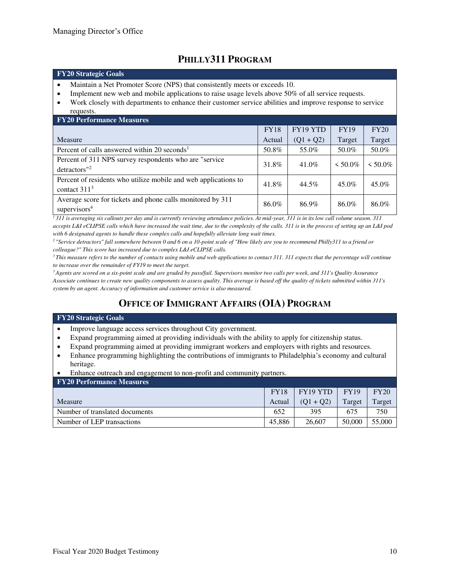# **PHILLY311 PROGRAM**

#### **FY20 Strategic Goals**

- Maintain a Net Promoter Score (NPS) that consistently meets or exceeds 10.
- Implement new web and mobile applications to raise usage levels above 50% of all service requests.
- Work closely with departments to enhance their customer service abilities and improve response to service requests.

| <b>FY20 Performance Measures</b>                                                       |             |             |               |            |  |  |  |
|----------------------------------------------------------------------------------------|-------------|-------------|---------------|------------|--|--|--|
|                                                                                        | <b>FY18</b> | FY19 YTD    | <b>FY19</b>   | FY20       |  |  |  |
| Measure                                                                                | Actual      | $(Q1 + Q2)$ | Target        | Target     |  |  |  |
| Percent of calls answered within 20 seconds <sup>1</sup>                               | 50.8%       | 55.0%       | 50.0%         | 50.0%      |  |  |  |
| Percent of 311 NPS survey respondents who are "service"<br>detractors" <sup>2</sup>    | 31.8%       | 41.0%       | $\leq 50.0\%$ | $< 50.0\%$ |  |  |  |
| Percent of residents who utilize mobile and web applications to<br>contact $3113$      | 41.8%       | 44.5%       | 45.0%         | $45.0\%$   |  |  |  |
| Average score for tickets and phone calls monitored by 311<br>supervisors <sup>4</sup> | 86.0%       | 86.9%       | 86.0%         | 86.0%      |  |  |  |

*<sup>1</sup>311 is averaging six callouts per day and is currently reviewing attendance policies. At mid-year, 311 is in its low call volume season. 311 accepts L&I eCLIPSE calls which have increased the wait time, due to the complexity of the calls. 311 is in the process of setting up an L&I pod with 6 designated agents to handle these complex calls and hopefully alleviate long wait times.* 

*<sup>2</sup>"Service detractors" fall somewhere between 0 and 6 on a 10-point scale of "How likely are you to recommend Philly311 to a friend or colleague?" This score has increased due to complex L&I eCLIPSE calls.* 

<sup>3</sup>*This measure refers to the number of contacts using mobile and web applications to contact 311. 311 expects that the percentage will continue to increase over the remainder of FY19 to meet the target.* 

*<sup>3</sup>Agents are scored on a six-point scale and are graded by pass/fail. Supervisors monitor two calls per week, and 311's Quality Assurance Associate continues to create new quality components to assess quality. This average is based off the quality of tickets submitted within 311's system by an agent. Accuracy of information and customer service is also measured.*

# **OFFICE OF IMMIGRANT AFFAIRS (OIA) PROGRAM**

#### **FY20 Strategic Goals**

- Improve language access services throughout City government.
- Expand programming aimed at providing individuals with the ability to apply for citizenship status.
- Expand programming aimed at providing immigrant workers and employers with rights and resources.
- Enhance programming highlighting the contributions of immigrants to Philadelphia's economy and cultural heritage.
- Enhance outreach and engagement to non-profit and community partners.

| <b>FY20 Performance Measures</b> |             |             |             |        |
|----------------------------------|-------------|-------------|-------------|--------|
|                                  | <b>FY18</b> | FY19 YTD    | <b>FY19</b> | FY20   |
| <b>Measure</b>                   | Actual      | $(01 + 02)$ | Target      | Target |
| Number of translated documents   | 652         | 395         | 675         | 750    |
| Number of LEP transactions       | 45.886      | 26,607      | 50,000      | 55,000 |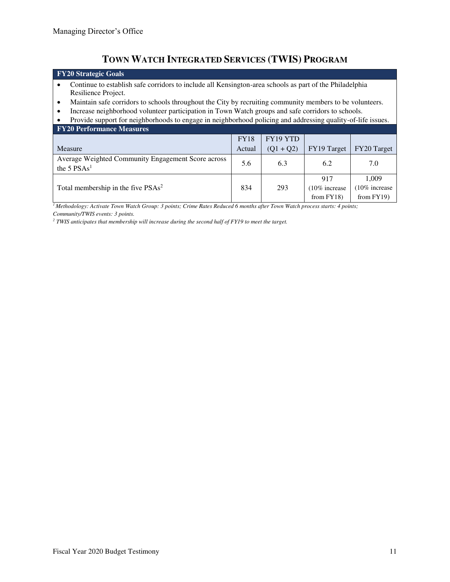# **TOWN WATCH INTEGRATED SERVICES (TWIS) PROGRAM**

# **FY20 Strategic Goals**

- Continue to establish safe corridors to include all Kensington-area schools as part of the Philadelphia Resilience Project.
- Maintain safe corridors to schools throughout the City by recruiting community members to be volunteers.
- Increase neighborhood volunteer participation in Town Watch groups and safe corridors to schools.

| Provide support for neighborhoods to engage in neighborhood policing and addressing quality-of-life issues. |  |                   |  |  |  |  |  |
|-------------------------------------------------------------------------------------------------------------|--|-------------------|--|--|--|--|--|
| <b>FY20 Performance Measures</b>                                                                            |  |                   |  |  |  |  |  |
|                                                                                                             |  | $FY18$   FY19 YTD |  |  |  |  |  |

|                                                                     | <b>TIO</b> | 1112 L L D  |                                      |                                       |
|---------------------------------------------------------------------|------------|-------------|--------------------------------------|---------------------------------------|
| Measure                                                             | Actual     | $(01 + 02)$ | FY19 Target                          | FY20 Target                           |
| Average Weighted Community Engagement Score across<br>the 5 $PSAs1$ | 5.6        | 6.3         | 6.2                                  | 7.0                                   |
| Total membership in the five PSAs <sup>2</sup>                      | 834        | 293         | 917<br>10% increase<br>from $FY18$ ) | 1.009<br>10% increase<br>from $FY19)$ |

*<sup>1</sup>Methodology: Activate Town Watch Group: 3 points; Crime Rates Reduced 6 months after Town Watch process starts: 4 points; Community/TWIS events: 3 points.* 

<sup>2</sup> TWIS anticipates that membership will increase during the second half of FY19 to meet the target.

 $\overline{\phantom{0}}$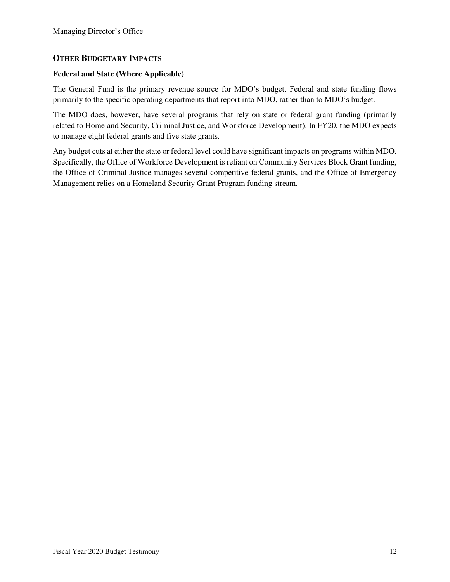### **OTHER BUDGETARY IMPACTS**

### **Federal and State (Where Applicable)**

The General Fund is the primary revenue source for MDO's budget. Federal and state funding flows primarily to the specific operating departments that report into MDO, rather than to MDO's budget.

The MDO does, however, have several programs that rely on state or federal grant funding (primarily related to Homeland Security, Criminal Justice, and Workforce Development). In FY20, the MDO expects to manage eight federal grants and five state grants.

Any budget cuts at either the state or federal level could have significant impacts on programs within MDO. Specifically, the Office of Workforce Development is reliant on Community Services Block Grant funding, the Office of Criminal Justice manages several competitive federal grants, and the Office of Emergency Management relies on a Homeland Security Grant Program funding stream.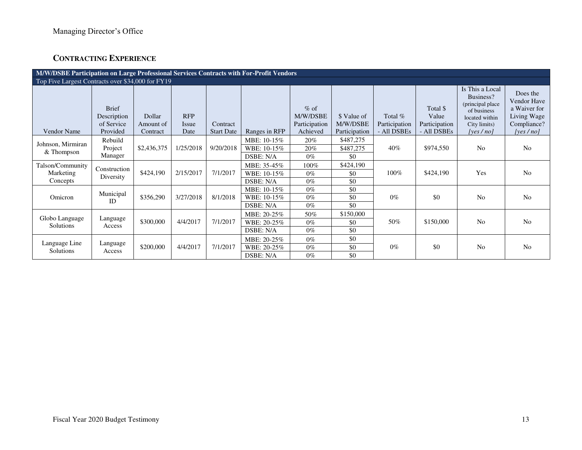## **CONTRACTING EXPERIENCE**

| M/W/DSBE Participation on Large Professional Services Contracts with For-Profit Vendors |                                                       |                                 |                             |                               |                                                |                                                 |                                          |                                           |                                                   |                                                                                                                |                                                                                   |
|-----------------------------------------------------------------------------------------|-------------------------------------------------------|---------------------------------|-----------------------------|-------------------------------|------------------------------------------------|-------------------------------------------------|------------------------------------------|-------------------------------------------|---------------------------------------------------|----------------------------------------------------------------------------------------------------------------|-----------------------------------------------------------------------------------|
| Top Five Largest Contracts over \$34,000 for FY19                                       |                                                       |                                 |                             |                               |                                                |                                                 |                                          |                                           |                                                   |                                                                                                                |                                                                                   |
| <b>Vendor Name</b>                                                                      | <b>Brief</b><br>Description<br>of Service<br>Provided | Dollar<br>Amount of<br>Contract | <b>RFP</b><br>Issue<br>Date | Contract<br><b>Start Date</b> | Ranges in RFP                                  | $%$ of<br>M/W/DSBE<br>Participation<br>Achieved | \$ Value of<br>M/W/DSBE<br>Participation | Total $%$<br>Participation<br>- All DSBEs | Total \$<br>Value<br>Participation<br>- All DSBEs | Is This a Local<br>Business?<br>(principal place)<br>of business<br>located within<br>City limits)<br>[yes/no] | Does the<br>Vendor Have<br>a Waiver for<br>Living Wage<br>Compliance?<br>[yes/no] |
| Johnson, Mirmiran<br>& Thompson                                                         | Rebuild<br>Project<br>Manager                         | \$2,436,375                     | 1/25/2018                   | 9/20/2018                     | MBE: 10-15%<br>WBE: 10-15%<br>DSBE: N/A        | 20%<br>20%<br>$0\%$                             | \$487,275<br>\$487,275<br>\$0            | 40%                                       | \$974,550                                         | N <sub>0</sub>                                                                                                 | N <sub>0</sub>                                                                    |
| Talson/Community<br>Marketing<br>Concepts                                               | Construction<br>Diversity                             | \$424,190                       | 2/15/2017                   | 7/1/2017                      | MBE: 35-45%<br>WBE: 10-15%<br><b>DSBE: N/A</b> | 100%<br>$0\%$<br>$0\%$                          | \$424,190<br>\$0<br>\$0                  | 100%                                      | \$424,190                                         | Yes                                                                                                            | N <sub>0</sub>                                                                    |
| Omicron                                                                                 | Municipal<br>ID                                       | \$356,290                       | 3/27/2018                   | 8/1/2018                      | MBE: 10-15%<br>WBE: 10-15%<br>DSBE: N/A        | $0\%$<br>$0\%$<br>$0\%$                         | \$0<br>\$0<br>\$0                        | $0\%$                                     | \$0                                               | No                                                                                                             | N <sub>0</sub>                                                                    |
| Globo Language<br><b>Solutions</b>                                                      | Language<br>Access                                    | \$300,000                       | 4/4/2017                    | 7/1/2017                      | MBE: 20-25%<br>WBE: 20-25%<br>DSBE: N/A        | 50%<br>$0\%$<br>$0\%$                           | \$150,000<br>\$0<br>\$0                  | 50%                                       | \$150,000                                         | N <sub>0</sub>                                                                                                 | No                                                                                |
| Language Line<br>Solutions                                                              | Language<br>Access                                    | \$200,000                       | 4/4/2017                    | 7/1/2017                      | MBE: 20-25%<br>WBE: 20-25%<br>DSBE: N/A        | $0\%$<br>$0\%$<br>$0\%$                         | \$0<br>\$0<br>\$0                        | $0\%$                                     | \$0                                               | N <sub>0</sub>                                                                                                 | N <sub>o</sub>                                                                    |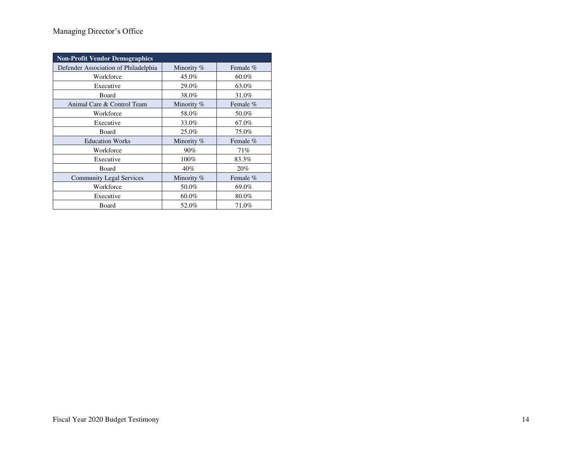## Managing Director's Office

| <b>Non-Profit Vendor Demographics</b> |              |          |  |  |  |  |  |
|---------------------------------------|--------------|----------|--|--|--|--|--|
| Defender Association of Philadelphia  | Minority $%$ | Female % |  |  |  |  |  |
| Workforce                             | 45.0%        | $60.0\%$ |  |  |  |  |  |
| Executive                             | 29.0%        | 63.0%    |  |  |  |  |  |
| Board                                 | 38.0%        | 31.0%    |  |  |  |  |  |
| Animal Care & Control Team            | Minority $%$ | Female % |  |  |  |  |  |
| Workforce                             | 58.0%        | 50.0%    |  |  |  |  |  |
| Executive                             | 33.0%        | 67.0%    |  |  |  |  |  |
| Board                                 | 25.0%        | 75.0%    |  |  |  |  |  |
| <b>Education Works</b>                | Minority %   | Female % |  |  |  |  |  |
| Workforce                             | 90%          | 71%      |  |  |  |  |  |
| Executive                             | 100%         | 83.3%    |  |  |  |  |  |
| Board                                 | 40%          | 20%      |  |  |  |  |  |
| <b>Community Legal Services</b>       | Minority $%$ | Female % |  |  |  |  |  |
| Workforce                             | 50.0%        | 69.0%    |  |  |  |  |  |
| Executive                             | $60.0\%$     | 80.0%    |  |  |  |  |  |
| Board                                 | 52.0%        | 71.0%    |  |  |  |  |  |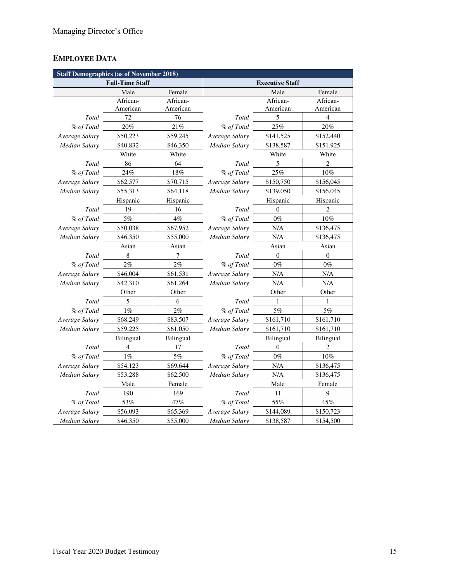# **EMPLOYEE DATA**

|                      | <b>Staff Demographics (as of November 2018)</b> |           |                        |              |                |  |  |  |
|----------------------|-------------------------------------------------|-----------|------------------------|--------------|----------------|--|--|--|
|                      | <b>Full-Time Staff</b>                          |           | <b>Executive Staff</b> |              |                |  |  |  |
|                      | Male                                            | Female    |                        | Male         | Female         |  |  |  |
|                      | African-                                        | African-  |                        | African-     | African-       |  |  |  |
|                      | American                                        | American  |                        | American     | American       |  |  |  |
| Total                | 72                                              | 76        | Total                  | 5            | $\overline{4}$ |  |  |  |
| % of Total           | 20%                                             | 21%       | % of Total             | 25%          | 20%            |  |  |  |
| Average Salary       | \$50,223                                        | \$59,245  | Average Salary         | \$141,525    | \$152,440      |  |  |  |
| <b>Median Salary</b> | \$40,832                                        | \$46,350  | Median Salary          | \$138,587    | \$151,925      |  |  |  |
|                      | White                                           | White     |                        | White        | White          |  |  |  |
| Total                | 86                                              | 64        | Total                  | 5            | $\overline{c}$ |  |  |  |
| % of Total           | 24%                                             | 18%       | % of Total             | 25%          | $10\%$         |  |  |  |
| Average Salary       | \$62,577                                        | \$70,715  | Average Salary         | \$150,750    | \$156,045      |  |  |  |
| Median Salary        | \$55,313                                        | \$64,118  | Median Salary          | \$139,050    | \$156,045      |  |  |  |
|                      | Hispanic                                        | Hispanic  |                        | Hispanic     | Hispanic       |  |  |  |
| Total                | 19                                              | 16        | Total                  | $\theta$     | $\overline{c}$ |  |  |  |
| % of Total           | 5%                                              | 4%        | % of Total             | $0\%$        | $10\%$         |  |  |  |
| Average Salary       | \$50,038                                        | \$67,952  | Average Salary         | N/A          | \$136,475      |  |  |  |
| <b>Median Salary</b> | \$46,350                                        | \$55,000  | Median Salary          | N/A          | \$136,475      |  |  |  |
|                      | Asian                                           | Asian     | Asian                  |              | Asian          |  |  |  |
| Total                | 8                                               | 7         | Total                  | $\mathbf{0}$ | $\overline{0}$ |  |  |  |
| % of Total           | $2\%$                                           | 2%        | % of Total             | $0\%$        | $0\%$          |  |  |  |
| Average Salary       | \$46,004                                        | \$61,531  | Average Salary         | N/A          | N/A            |  |  |  |
| Median Salary        | \$42,310                                        | \$61,264  | Median Salary          | N/A          | N/A            |  |  |  |
|                      | Other                                           | Other     |                        | Other        | Other          |  |  |  |
| Total                | 5                                               | 6         | Total                  | 1            | 1              |  |  |  |
| % of Total           | $1\%$                                           | 2%        | % of Total             | 5%           | $5\%$          |  |  |  |
| Average Salary       | \$68,249                                        | \$83,507  | Average Salary         | \$161,710    | \$161,710      |  |  |  |
| Median Salary        | \$59,225                                        | \$61,050  | Median Salary          | \$161,710    | \$161,710      |  |  |  |
|                      | Bilingual                                       | Bilingual |                        | Bilingual    | Bilingual      |  |  |  |
| Total                | 4                                               | 17        | Total                  | $\theta$     | $\overline{c}$ |  |  |  |
| % of Total           | $1\%$                                           | 5%        | % of Total             | $0\%$        | 10%            |  |  |  |
| Average Salary       | \$54,123                                        | \$69,644  | Average Salary         | N/A          | \$136,475      |  |  |  |
| <b>Median Salary</b> | \$53,288                                        | \$62,500  | Median Salary          | N/A          | \$136,475      |  |  |  |
|                      | Male                                            | Female    |                        | Male         | Female         |  |  |  |
| Total                | 190                                             | 169       | Total                  | 11           | 9              |  |  |  |
| % of Total           | 53%                                             | 47%       | % of Total             | 55%          | 45%            |  |  |  |
| Average Salary       | \$56,093                                        | \$65,369  | Average Salary         | \$144,089    | \$150,723      |  |  |  |
| <b>Median Salary</b> | \$46,350                                        | \$55,000  | <b>Median Salary</b>   | \$138,587    | \$154,500      |  |  |  |